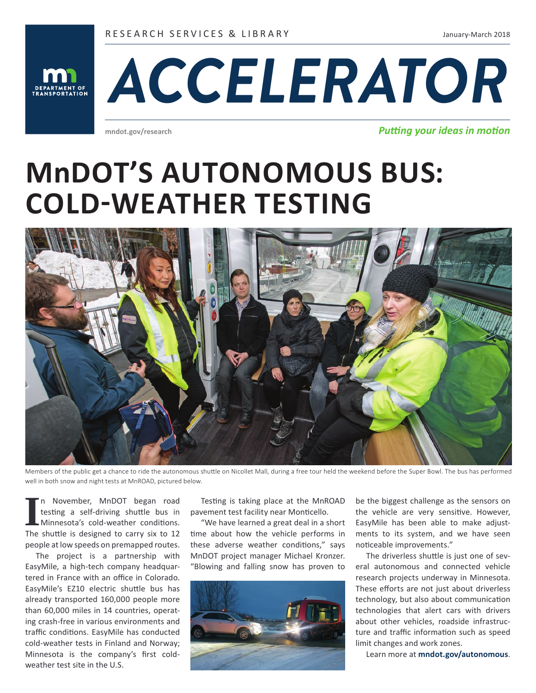RESEARCH SERVICES & LIBRARY

January-March 2018





**mndot.gov/research**

*Putting your ideas in motion*

# **MnDOT'S AUTONOMOUS BUS: COLD-WEATHER TESTING**



Members of the public get a chance to ride the autonomous shuttle on Nicollet Mall, during a free tour held the weekend before the Super Bowl. The bus has performed well in both snow and night tests at MnROAD, pictured below.

In November, MnDOT began road testing a self-driving shuttle bus in Minnesota's cold-weather conditions.<br>The shuttle is designed to carry six to 12 n November, MnDOT began road testing a self-driving shuttle bus in Minnesota's cold-weather conditions. people at low speeds on premapped routes.

The project is a partnership with EasyMile, a high-tech company headquartered in France with an office in Colorado. EasyMile's EZ10 electric shuttle bus has already transported 160,000 people more than 60,000 miles in 14 countries, operating crash-free in various environments and traffic conditions. EasyMile has conducted cold-weather tests in Finland and Norway; Minnesota is the company's first coldweather test site in the U.S.

Testing is taking place at the MnROAD pavement test facility near Monticello.

"We have learned a great deal in a short time about how the vehicle performs in these adverse weather conditions," says MnDOT project manager Michael Kronzer. "Blowing and falling snow has proven to



be the biggest challenge as the sensors on the vehicle are very sensitive. However, EasyMile has been able to make adjustments to its system, and we have seen noticeable improvements."

The driverless shuttle is just one of several autonomous and connected vehicle research projects underway in Minnesota. These efforts are not just about driverless technology, but also about communication technologies that alert cars with drivers about other vehicles, roadside infrastructure and traffic information such as speed limit changes and work zones.

Learn more at **mndot.gov/autonomous**.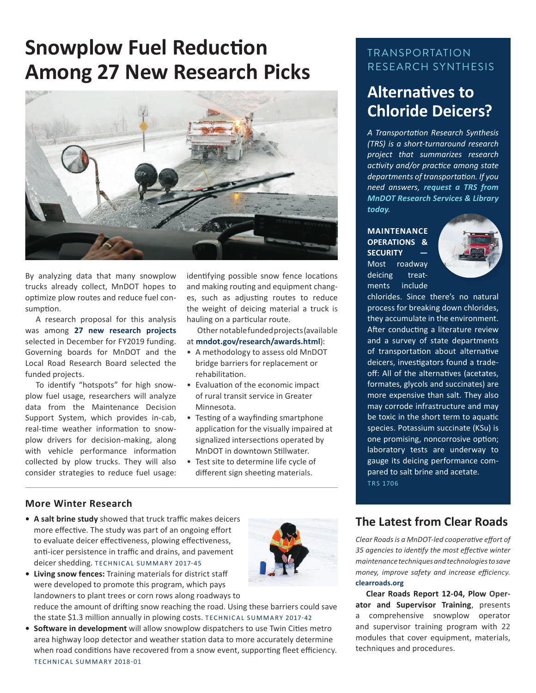# **Snowplow Fuel Reduction Among 27 New Research Picks**



By analyzing data that many snowplow trucks already collect, MnDOT hopes to optimize plow routes and reduce fuel consumption.

A research proposal for this analysis was among **27 new research projects** selected in December for FY2019 funding. Governing boards for MnDOT and the Local Road Research Board selected the funded projects.

To identify "hotspots" for high snowplow fuel usage, researchers will analyze data from the Maintenance Decision Support System, which provides in-cab, real-time weather information to snowplow drivers for decision-making, along with vehicle performance information collected by plow trucks. They will also consider strategies to reduce fuel usage:

identifying possible snow fence locations and making routing and equipment changes, such as adjusting routes to reduce the weight of deicing material a truck is hauling on a particular route.

Other notable funded projects (available

at **mndot.gov/research/awards.html**):

- A methodology to assess old MnDOT bridge barriers for replacement or rehabilitation.
- Evaluation of the economic impact of rural transit service in Greater Minnesota.
- Testing of a wayfinding smartphone application for the visually impaired at signalized intersections operated by MnDOT in downtown Stillwater.
- Test site to determine life cycle of different sign sheeting materials.

#### **More Winter Research**

- **• A salt brine study** showed that truck traffic makes deicers more effective. The study was part of an ongoing effort to evaluate deicer effectiveness, plowing effectiveness, anti-icer persistence in traffic and drains, and pavement deicer shedding. TECHNICAL SUMMARY 2017-45
- **• Living snow fences:** Training materials for district staff were developed to promote this program, which pays landowners to plant trees or corn rows along roadways to reduce the amount of drifting snow reaching the road. Using these barriers could save the state \$1.3 million annually in plowing costs. TECHNICAL SUMMARY 2017-42
- **• Software in development** will allow snowplow dispatchers to use Twin Cities metro area highway loop detector and weather station data to more accurately determine when road conditions have recovered from a snow event, supporting fleet efficiency. TECHNICAL SUMMARY 2018-01

## TRANSPORTATION RESEARCH SYNTHESIS

# **Alternatives to Chloride Deicers?**

*A Transportation Research Synthesis (TRS) is a short-turnaround research project that summarizes research activity and/or practice among state departments of transportation. If you need answers, request a TRS from MnDOT Research Services & Library today.*

**MAINTENANCE OPERATIONS & SECURITY —** Most roadway deicing treatments include



chlorides. Since there's no natural process for breaking down chlorides, they accumulate in the environment. After conducting a literature review and a survey of state departments of transportation about alternative deicers, investigators found a tradeoff: All of the alternatives (acetates, formates, glycols and succinates) are more expensive than salt. They also may corrode infrastructure and may be toxic in the short term to aquatic species. Potassium succinate (KSu) is one promising, noncorrosive option; laboratory tests are underway to gauge its deicing performance compared to salt brine and acetate. TRS 1706

### **The Latest from Clear Roads**

*Clear Roads is a MnDOT-led cooperative effort of 35 agencies to identify the most effective winter maintenance techniques and technologies to save money, improve safety and increase efficiency.*  **clearroads.org**

**Clear Roads Report 12-04, Plow Operator and Supervisor Training**, presents a comprehensive snowplow operator and supervisor training program with 22 modules that cover equipment, materials, techniques and procedures.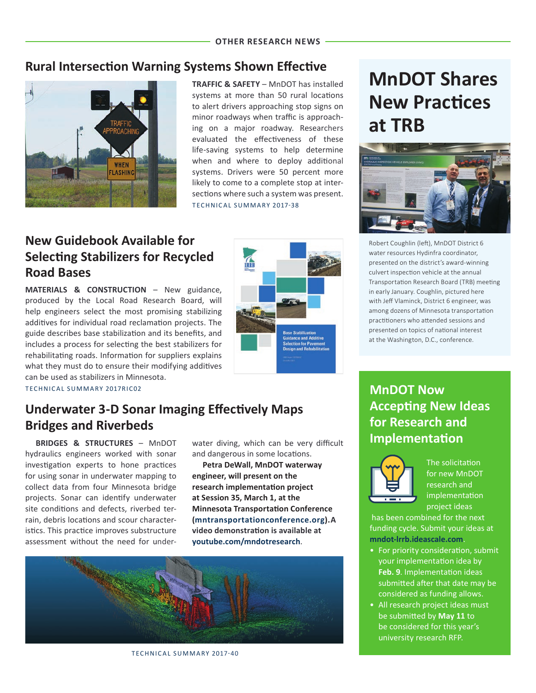# **Rural Intersection Warning Systems Shown Effective**



**TRAFFIC & SAFETY** – MnDOT has installed systems at more than 50 rural locations to alert drivers approaching stop signs on minor roadways when traffic is approaching on a major roadway. Researchers evaluated the effectiveness of these life-saving systems to help determine when and where to deploy additional systems. Drivers were 50 percent more likely to come to a complete stop at intersections where such a system was present. TECHNICAL SUMMARY 2017-38

**TA** 

# **New Guidebook Available for Selecting Stabilizers for Recycled Road Bases**

**MATERIALS & CONSTRUCTION** – New guidance, produced by the Local Road Research Board, will help engineers select the most promising stabilizing additives for individual road reclamation projects. The guide describes base stabilization and its benefits, and includes a process for selecting the best stabilizers for rehabilitating roads. Information for suppliers explains what they must do to ensure their modifying additives can be used as stabilizers in Minnesota.

T ECHNICAL SUMMARY 2017RIC02

# **Underwater 3-D Sonar Imaging Effectively Maps Bridges and Riverbeds**

**BRIDGES & STRUCTURES** – MnDOT hydraulics engineers worked with sonar investigation experts to hone practices for using sonar in underwater mapping to collect data from four Minnesota bridge projects. Sonar can identify underwater site conditions and defects, riverbed terrain, debris locations and scour characteristics. This practice improves substructure assessment without the need for underwater diving, which can be very difficult and dangerous in some locations.

**Petra DeWall, MnDOT waterway engineer, will present on the research implementation project at Session 35, March 1, at the Minnesota Transportation Conference (mntransportationconference.org).A video demonstration is available at youtube.com/mndotresearch**.



TECHNICAL SUMMARY 2017-40

# **MnDOT Shares New Practices at TRB**



Robert Coughlin (left), MnDOT District 6 water resources Hydinfra coordinator, presented on the district's award-winning culvert inspection vehicle at the annual Transportation Research Board (TRB) meeting in early January. Coughlin, pictured here with Jeff Vlaminck, District 6 engineer, was among dozens of Minnesota transportation practitioners who attended sessions and presented on topics of national interest at the Washington, D.C., conference.

**MnDOT Now Accepting New Ideas for Research and Implementation**



The solicitation for new MnDOT research and implementation project ideas

 has been combined for the next funding cycle. Submit your ideas at **mndot-lrrb.ideascale.com**.

- For priority consideration, submit your implementation idea by **Feb. 9**. Implementation ideas submitted after that date may be considered as funding allows.
- All research project ideas must be submitted by **May 11** to be considered for this year's university research RFP.